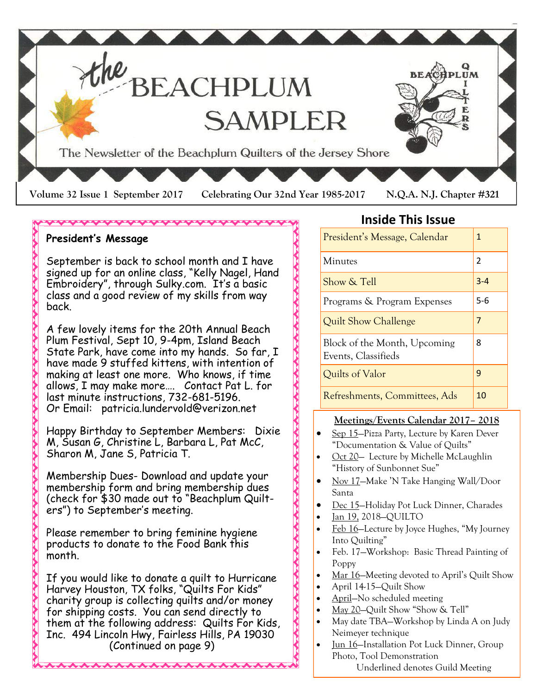

### \*\*\*\*\*\*\*\*\*\*\*\*\*\*\*\*

### **President's Message**

September is back to school month and I have signed up for an online class, "Kelly Nagel, Hand Embroidery", through Sulky.com. It's a basic class and a good review of my skills from way back.

A few lovely items for the 20th Annual Beach Plum Festival, Sept 10, 9-4pm, Island Beach State Park, have come into my hands. So far, I have made 9 stuffed kittens, with intention of making at least one more. Who knows, if time allows, I may make more…. Contact Pat L. for last minute instructions, 732-681-5196. Or Email: patricia.lundervold@verizon.net

Happy Birthday to September Members: Dixie M, Susan G, Christine L, Barbara L, Pat McC, Sharon M, Jane S, Patricia T.

Membership Dues- Download and update your membership form and bring membership dues (check for \$30 made out to "Beachplum Quilters") to September's meeting.

Please remember to bring feminine hygiene products to donate to the Food Bank this month.

If you would like to donate a quilt to Hurricane Harvey Houston, TX folks, "Quilts For Kids" charity group is collecting quilts and/or money for shipping costs. You can send directly to them at the following address: Quilts For Kids, Inc. 494 Lincoln Hwy, Fairless Hills, PA 19030 (Continued on page 9)

**AAAAAAAA** 

### **Inside This Issue**

| President's Message, Calendar                       | 1       |
|-----------------------------------------------------|---------|
| Minutes                                             | 2       |
| Show & Tell                                         | $3 - 4$ |
| Programs & Program Expenses                         | $5-6$   |
| Quilt Show Challenge                                | 7       |
| Block of the Month, Upcoming<br>Events, Classifieds | 8       |
| Quilts of Valor                                     | 9       |
| Refreshments, Committees, Ads                       | 10      |

### **Meetings/Events Calendar 2017– 2018**

- Sep 15—Pizza Party, Lecture by Karen Dever "Documentation & Value of Quilts"
- Oct 20— Lecture by Michelle McLaughlin "History of Sunbonnet Sue"
- Nov 17—Make 'N Take Hanging Wall/Door Santa
- Dec 15—Holiday Pot Luck Dinner, Charades
- Jan 19, 2018—QUILTO
- Feb 16—Lecture by Joyce Hughes, "My Journey Into Quilting"
- Feb. 17—Workshop: Basic Thread Painting of Poppy
- Mar 16—Meeting devoted to April's Quilt Show
- April 14-15—Quilt Show
- April—No scheduled meeting
- May 20—Quilt Show "Show & Tell"
- May date TBA—Workshop by Linda A on Judy Neimeyer technique
- Jun 16—Installation Pot Luck Dinner, Group Photo, Tool Demonstration Underlined denotes Guild Meeting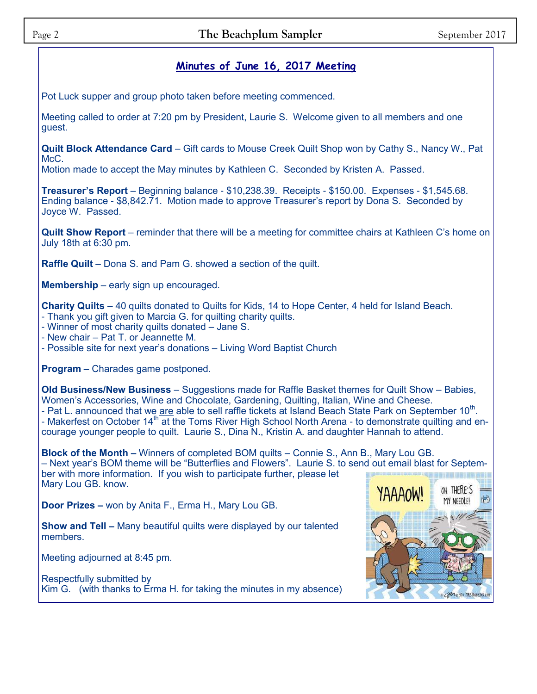### **Minutes of June 16, 2017 Meeting**

Pot Luck supper and group photo taken before meeting commenced.

Meeting called to order at 7:20 pm by President, Laurie S. Welcome given to all members and one guest.

**Quilt Block Attendance Card** – Gift cards to Mouse Creek Quilt Shop won by Cathy S., Nancy W., Pat McC.

Motion made to accept the May minutes by Kathleen C. Seconded by Kristen A. Passed.

**Treasurer's Report** – Beginning balance - \$10,238.39. Receipts - \$150.00. Expenses - \$1,545.68. Ending balance - \$8,842.71. Motion made to approve Treasurer's report by Dona S. Seconded by Joyce W. Passed.

**Quilt Show Report** – reminder that there will be a meeting for committee chairs at Kathleen C's home on July 18th at 6:30 pm.

**Raffle Quilt** – Dona S. and Pam G. showed a section of the quilt.

**Membership** – early sign up encouraged.

**Charity Quilts** – 40 quilts donated to Quilts for Kids, 14 to Hope Center, 4 held for Island Beach.

- Thank you gift given to Marcia G. for quilting charity quilts.
- Winner of most charity quilts donated Jane S.
- New chair Pat T. or Jeannette M.
- Possible site for next year's donations Living Word Baptist Church

**Program –** Charades game postponed.

**Old Business/New Business** – Suggestions made for Raffle Basket themes for Quilt Show – Babies, Women's Accessories, Wine and Chocolate, Gardening, Quilting, Italian, Wine and Cheese. - Pat L. announced that we are able to sell raffle tickets at Island Beach State Park on September  $10^{\text{th}}$ . - Makerfest on October 14<sup>th</sup> at the Toms River High School North Arena - to demonstrate quilting and encourage younger people to quilt. Laurie S., Dina N., Kristin A. and daughter Hannah to attend.

**Block of the Month –** Winners of completed BOM quilts – Connie S., Ann B., Mary Lou GB. – Next year's BOM theme will be "Butterflies and Flowers". Laurie S. to send out email blast for September with more information. If you wish to participate further, please let Mary Lou GB. know.

**Door Prizes –** won by Anita F., Erma H., Mary Lou GB.

**Show and Tell –** Many beautiful quilts were displayed by our talented members.

Meeting adjourned at 8:45 pm.

Respectfully submitted by Kim G. (with thanks to Erma H. for taking the minutes in my absence)

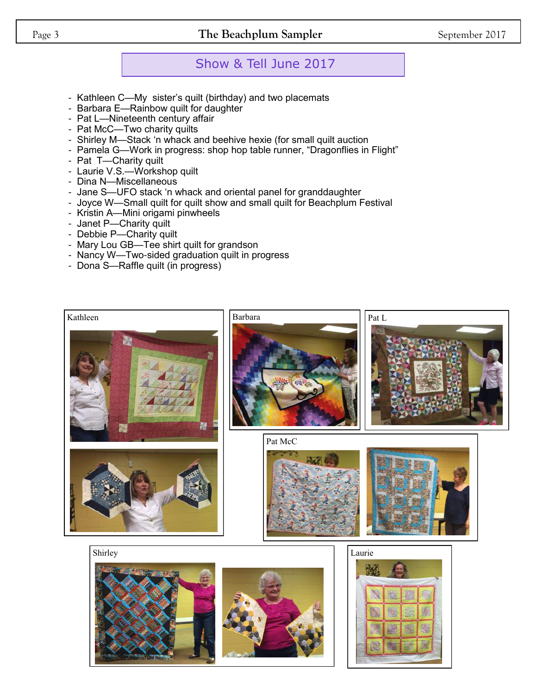Page 3 **The Beachplum Sampler** September 2017

## Show & Tell June 2017

- Kathleen C—My sister's quilt (birthday) and two placemats
- Barbara E—Rainbow quilt for daughter
- Pat L—Nineteenth century affair
- Pat McC—Two charity quilts
- Shirley M—Stack 'n whack and beehive hexie (for small quilt auction
- Pamela G—Work in progress: shop hop table runner, "Dragonflies in Flight"
- Pat T—Charity quilt
- Laurie V.S.—Workshop quilt
- Dina N—Miscellaneous
- Jane S—UFO stack 'n whack and oriental panel for granddaughter
- Joyce W—Small quilt for quilt show and small quilt for Beachplum Festival
- Kristin A—Mini origami pinwheels
- Janet P-Charity quilt
- Debbie P—Charity quilt
- Mary Lou GB—Tee shirt quilt for grandson
- Nancy W—Two-sided graduation quilt in progress
- Dona S—Raffle quilt (in progress)

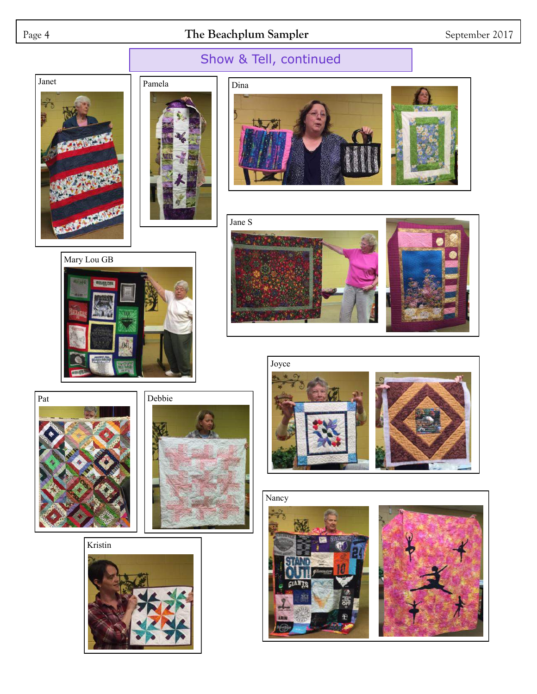## Page 4 **The Beachplum Sampler** September 2017















Kristin







# Show & Tell, continued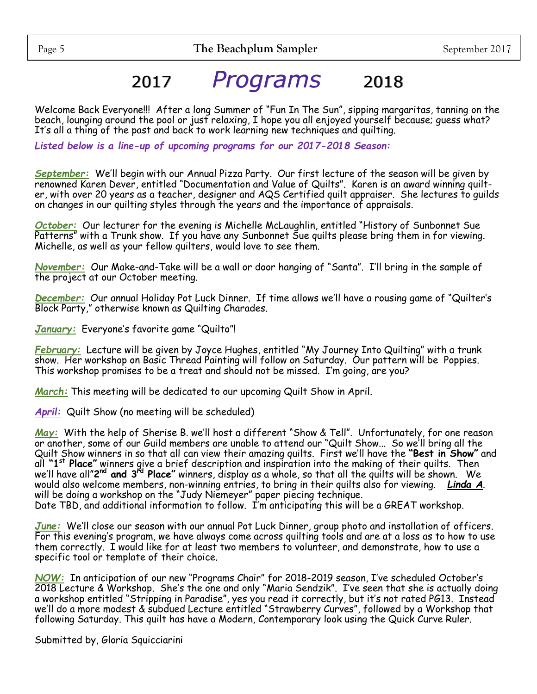# 2017 *Programs* 2018

Welcome Back Everyone!!! After a long Summer of "Fun In The Sun", sipping margaritas, tanning on the beach, lounging around the pool or just relaxing, I hope you all enjoyed yourself because; guess what? It's all a thing of the past and back to work learning new techniques and quilting.

*Listed below is a line-up of upcoming programs for our 2017-2018 Season:*

*September:* We'll begin with our Annual Pizza Party. Our first lecture of the season will be given by renowned Karen Dever, entitled "Documentation and Value of Quilts". Karen is an award winning quilter, with over 20 years as a teacher, designer and AQS Certified quilt appraiser. She lectures to guilds on changes in our quilting styles through the years and the importance of appraisals.

*October:* Our lecturer for the evening is Michelle McLaughlin, entitled "History of Sunbonnet Sue Patterns" with a Trunk show. If you have any Sunbonnet Sue quilts please bring them in for viewing. Michelle, as well as your fellow quilters, would love to see them.

*November:* Our Make-and-Take will be a wall or door hanging of "Santa". I'll bring in the sample of the project at our October meeting.

*December:* Our annual Holiday Pot Luck Dinner. If time allows we'll have a rousing game of "Quilter's Block Party," otherwise known as Quilting Charades.

*January:* Everyone's favorite game "Quilto"!

*February:* Lecture will be given by Joyce Hughes, entitled "My Journey Into Quilting" with a trunk show. Her workshop on Basic Thread Painting will follow on Saturday. Our pattern will be Poppies. This workshop promises to be a treat and should not be missed. I'm going, are you?

*March:* This meeting will be dedicated to our upcoming Quilt Show in April.

*April:* Quilt Show (no meeting will be scheduled)

*May:* With the help of Sherise B. we'll host a different "Show & Tell". Unfortunately, for one reason or another, some of our Guild members are unable to attend our "Quilt Show... So we'll bring all the Quilt Show winners in so that all can view their amazing quilts. First we'll have the **"Best in Show"** and all **"1st Place"** winners give a brief description and inspiration into the making of their quilts. Then we'll have all"**2 nd and 3rd Place"** winners, display as a whole, so that all the quilts will be shown. We would also welcome members, non-winning entries, to bring in their quilts also for viewing. *Linda A*. will be doing a workshop on the "Judy Niemeyer" paper piecing technique.

Date TBD, and additional information to follow. I'm anticipating this will be a GREAT workshop.

*June:* We'll close our season with our annual Pot Luck Dinner, group photo and installation of officers. For this evening's program, we have always come across quilting tools and are at a loss as to how to use them correctly. I would like for at least two members to volunteer, and demonstrate, how to use a specific tool or template of their choice.

*NOW:* In anticipation of our new "Programs Chair" for 2018-2019 season, I've scheduled October's 2018 Lecture & Workshop. She's the one and only "Maria Sendzik". I've seen that she is actually doing a workshop entitled "Stripping in Paradise", yes you read it correctly, but it's not rated PG13. Instead we'll do a more modest & subdued Lecture entitled "Strawberry Curves", followed by a Workshop that following Saturday. This quilt has have a Modern, Contemporary look using the Quick Curve Ruler.

Submitted by, Gloria Squicciarini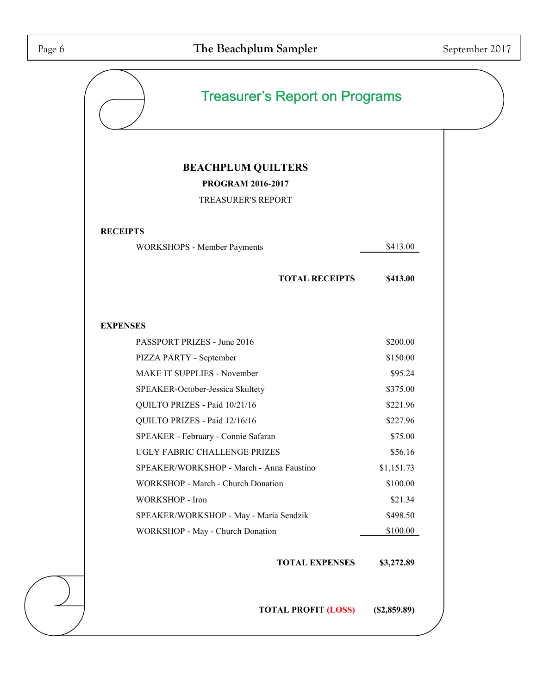| <b>BEACHPLUM QUILTERS</b>                |                            |                |
|------------------------------------------|----------------------------|----------------|
| <b>PROGRAM 2016-2017</b>                 |                            |                |
| <b>TREASURER'S REPORT</b>                |                            |                |
| <b>RECEIPTS</b>                          |                            |                |
| WORKSHOPS - Member Payments              |                            | \$413.00       |
|                                          | <b>TOTAL RECEIPTS</b>      | \$413.00       |
| <b>EXPENSES</b>                          |                            |                |
| PASSPORT PRIZES - June 2016              |                            | \$200.00       |
| PIZZA PARTY - September                  |                            | \$150.00       |
| MAKE IT SUPPLIES - November              |                            | \$95.24        |
| SPEAKER-October-Jessica Skultety         |                            | \$375.00       |
| QUILTO PRIZES - Paid 10/21/16            |                            | \$221.96       |
| QUILTO PRIZES - Paid 12/16/16            |                            | \$227.96       |
| SPEAKER - February - Connie Safaran      |                            | \$75.00        |
| UGLY FABRIC CHALLENGE PRIZES             |                            | \$56.16        |
| SPEAKER/WORKSHOP - March - Anna Faustino |                            | \$1,151.73     |
| WORKSHOP - March - Church Donation       |                            | \$100.00       |
| WORKSHOP - Iron                          |                            | \$21.34        |
| SPEAKER/WORKSHOP - May - Maria Sendzik   |                            | \$498.50       |
| WORKSHOP - May - Church Donation         |                            | \$100.00       |
|                                          | <b>TOTAL EXPENSES</b>      | \$3,272.89     |
|                                          | <b>TOTAL PROFIT (LOSS)</b> | $(\$2,859.89)$ |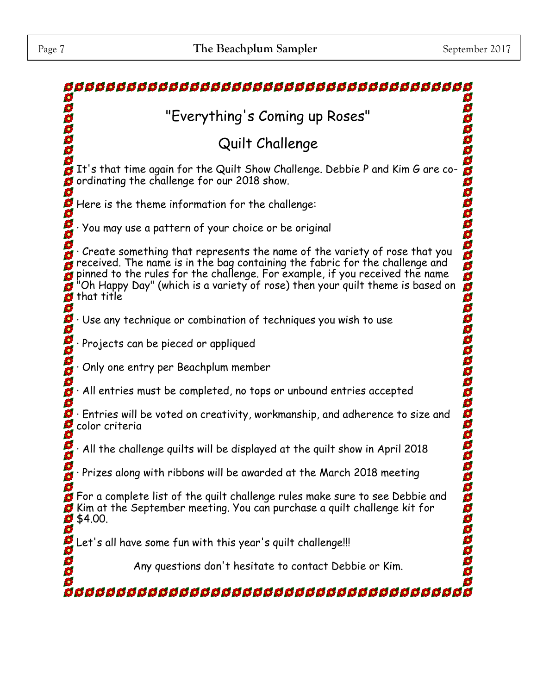| "Everything's Coming up Roses"                                                                                                                                                                                                                                                                                                                    |
|---------------------------------------------------------------------------------------------------------------------------------------------------------------------------------------------------------------------------------------------------------------------------------------------------------------------------------------------------|
| Quilt Challenge                                                                                                                                                                                                                                                                                                                                   |
| It's that time again for the Quilt Show Challenge. Debbie P and Kim G are co-<br>Ø<br>ordinating the challenge for our 2018 show.                                                                                                                                                                                                                 |
| Here is the theme information for the challenge:                                                                                                                                                                                                                                                                                                  |
| You may use a pattern of your choice or be original                                                                                                                                                                                                                                                                                               |
| 300000<br>Create something that represents the name of the variety of rose that you<br>received. The name is in the bag containing the fabric for the challenge and<br>pinned to the rules for the challenge. For example, if you received the name<br>Oh Happy Day" (which is a variety of rose) then your quilt theme is based on<br>that title |
| Use any technique or combination of techniques you wish to use                                                                                                                                                                                                                                                                                    |
| Projects can be pieced or appliqued                                                                                                                                                                                                                                                                                                               |
| Only one entry per Beachplum member                                                                                                                                                                                                                                                                                                               |
| All entries must be completed, no tops or unbound entries accepted                                                                                                                                                                                                                                                                                |
| <b>DODDDDDDDD</b><br>$\cdot$ Entries will be voted on creativity, workmanship, and adherence to size and<br>color criteria                                                                                                                                                                                                                        |
| All the challenge quilts will be displayed at the quilt show in April 2018                                                                                                                                                                                                                                                                        |
| Prizes along with ribbons will be awarded at the March 2018 meeting                                                                                                                                                                                                                                                                               |
| aaaaaaa<br><b>S</b> For a complete list of the quilt challenge rules make sure to see Debbie and<br>Kim at the September meeting. You can purchase a quilt challenge kit for<br>$\frac{6}{9}$ \$4.00.                                                                                                                                             |
| et's all have some fun with this year's quilt challenge!!!                                                                                                                                                                                                                                                                                        |
| aaaaa<br>Any questions don't hesitate to contact Debbie or Kim.                                                                                                                                                                                                                                                                                   |
|                                                                                                                                                                                                                                                                                                                                                   |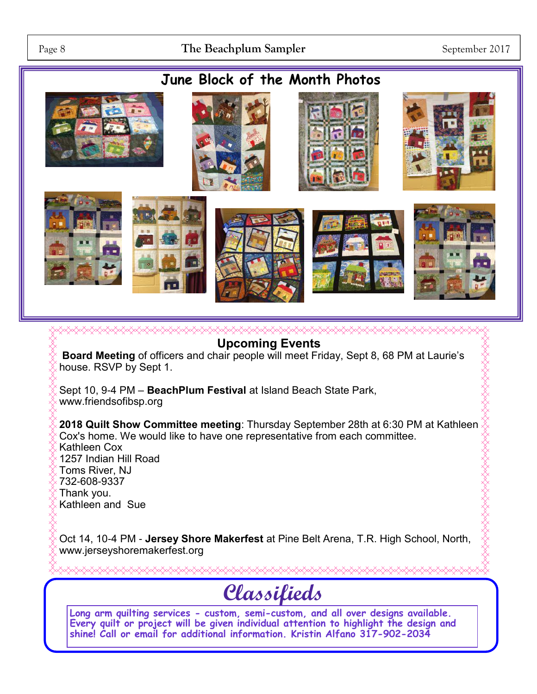# **June Block of the Month Photos**



**Upcoming Events Board Meeting** of officers and chair people will meet Friday, Sept 8, 68 PM at Laurie's house. RSVP by Sept 1. Sept 10, 9-4 PM – **BeachPlum Festival** at Island Beach State Park, www.friendsofibsp.org **2018 Quilt Show Committee meeting**: Thursday September 28th at 6:30 PM at Kathleen Cox's home. We would like to have one representative from each committee. Kathleen Cox 1257 Indian Hill Road Toms River, NJ 732-608-9337 Thank you. Kathleen and Sue

Oct 14, 10-4 PM - **Jersey Shore Makerfest** at Pine Belt Arena, T.R. High School, North, www.jerseyshoremakerfest.org

# **Classifieds**

**Long arm quilting services - custom, semi-custom, and all over designs available. Every quilt or project will be given individual attention to highlight the design and shine! Call or email for additional information. Kristin Alfano 317-902-2034**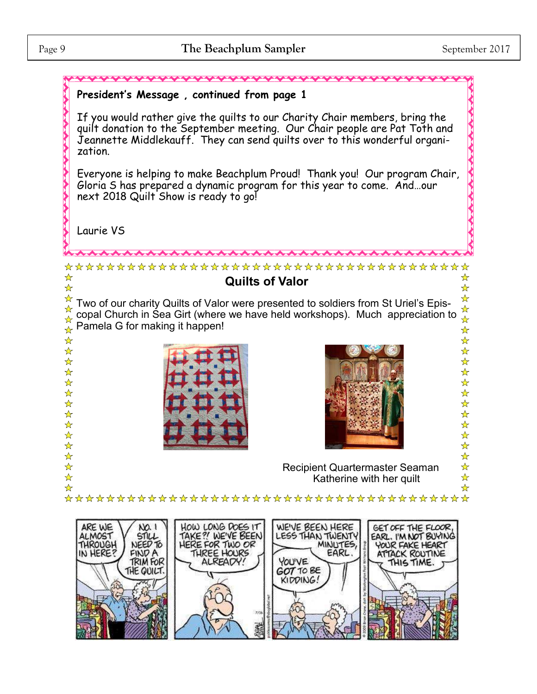